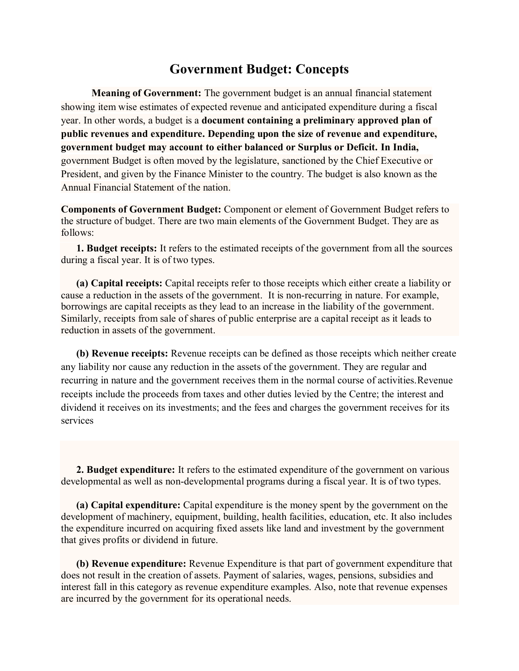## **Government Budget: Concepts**

**Meaning of Government:** The government budget is an annual financial statement showing item wise estimates of expected revenue and anticipated expenditure during a fiscal year. In other words, a budget is a **document containing a preliminary approved plan of public revenues and expenditure. Depending upon the size of revenue and expenditure, government budget may account to either balanced or Surplus or Deficit. In India,**  government Budget is often moved by the legislature, sanctioned by the Chief Executive or President, and given by the Finance Minister to the country. The budget is also known as the Annual Financial Statement of the nation.

**Components of Government Budget:** Component or element of Government Budget refers to the structure of budget. There are two main elements of the Government Budget. They are as follows:

**1. Budget receipts:** It refers to the estimated receipts of the government from all the sources during a fiscal year. It is of two types.

**(a) Capital receipts:** Capital receipts refer to those receipts which either create a liability or cause a reduction in the assets of the government. It is non-recurring in nature. For example, borrowings are capital receipts as they lead to an increase in the liability of the government. Similarly, receipts from sale of shares of public enterprise are a capital receipt as it leads to reduction in assets of the government.

**(b) Revenue receipts:** Revenue receipts can be defined as those receipts which neither create any liability nor cause any reduction in the assets of the government. They are regular and recurring in nature and the government receives them in the normal course of activities.Revenue receipts include the proceeds from taxes and other duties levied by the Centre; the interest and dividend it receives on its investments; and the fees and charges the government receives for its services

**2. Budget expenditure:** It refers to the estimated expenditure of the government on various developmental as well as non-developmental programs during a fiscal year. It is of two types.

**(a) Capital expenditure:** Capital expenditure is the money spent by the government on the development of machinery, equipment, building, health facilities, education, etc. It also includes the expenditure incurred on acquiring fixed assets like land and investment by the government that gives profits or dividend in future.

**(b) Revenue expenditure:** Revenue Expenditure is that part of government expenditure that does not result in the creation of assets. Payment of salaries, wages, pensions, subsidies and interest fall in this category as revenue expenditure examples. Also, note that revenue expenses are incurred by the government for its operational needs.